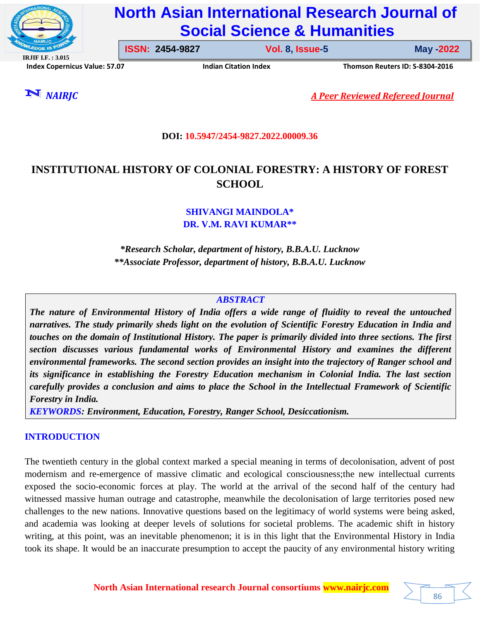

# **North Asian International Research Journal of Social Science & Humanities**

**IRJIF I.F. : 3.015 Index Copernicus Value: 57.07****Indian Citation Index****Thomson Reuters ID: S-8304-2016** 

**ISSN: 2454-9827 Vol. 8, Issue-5** 

**Issue-5 May -2022**

*NAIRJC A Peer Reviewed Refereed Journal*

### **DOI: 10.5947/2454-9827.2022.00009.36**

# **INSTITUTIONAL HISTORY OF COLONIAL FORESTRY: A HISTORY OF FOREST SCHOOL**

**SHIVANGI MAINDOLA\* DR. V.M. RAVI KUMAR\*\***

*\*Research Scholar, department of history, B.B.A.U. Lucknow \*\*Associate Professor, department of history, B.B.A.U. Lucknow*

#### *ABSTRACT*

*The nature of Environmental History of India offers a wide range of fluidity to reveal the untouched narratives. The study primarily sheds light on the evolution of Scientific Forestry Education in India and touches on the domain of Institutional History. The paper is primarily divided into three sections. The first section discusses various fundamental works of Environmental History and examines the different environmental frameworks. The second section provides an insight into the trajectory of Ranger school and its significance in establishing the Forestry Education mechanism in Colonial India. The last section carefully provides a conclusion and aims to place the School in the Intellectual Framework of Scientific Forestry in India.* 

*KEYWORDS: Environment, Education, Forestry, Ranger School, Desiccationism.* 

# **INTRODUCTION**

The twentieth century in the global context marked a special meaning in terms of decolonisation, advent of post modernism and re-emergence of massive climatic and ecological consciousness;the new intellectual currents exposed the socio-economic forces at play. The world at the arrival of the second half of the century had witnessed massive human outrage and catastrophe, meanwhile the decolonisation of large territories posed new challenges to the new nations. Innovative questions based on the legitimacy of world systems were being asked, and academia was looking at deeper levels of solutions for societal problems. The academic shift in history writing, at this point, was an inevitable phenomenon; it is in this light that the Environmental History in India took its shape. It would be an inaccurate presumption to accept the paucity of any environmental history writing

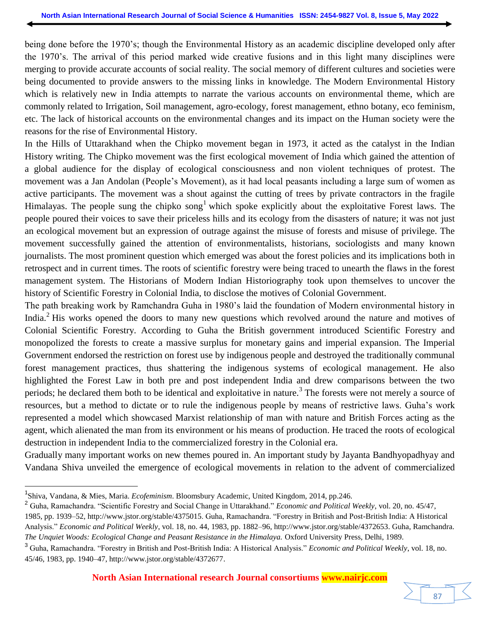being done before the 1970"s; though the Environmental History as an academic discipline developed only after the 1970"s. The arrival of this period marked wide creative fusions and in this light many disciplines were merging to provide accurate accounts of social reality. The social memory of different cultures and societies were being documented to provide answers to the missing links in knowledge. The Modern Environmental History which is relatively new in India attempts to narrate the various accounts on environmental theme, which are commonly related to Irrigation, Soil management, agro-ecology, forest management, ethno botany, eco feminism, etc. The lack of historical accounts on the environmental changes and its impact on the Human society were the reasons for the rise of Environmental History.

In the Hills of Uttarakhand when the Chipko movement began in 1973, it acted as the catalyst in the Indian History writing. The Chipko movement was the first ecological movement of India which gained the attention of a global audience for the display of ecological consciousness and non violent techniques of protest. The movement was a Jan Andolan (People"s Movement), as it had local peasants including a large sum of women as active participants. The movement was a shout against the cutting of trees by private contractors in the fragile Himalayas. The people sung the chipko song<sup>1</sup> which spoke explicitly about the exploitative Forest laws. The people poured their voices to save their priceless hills and its ecology from the disasters of nature; it was not just an ecological movement but an expression of outrage against the misuse of forests and misuse of privilege. The movement successfully gained the attention of environmentalists, historians, sociologists and many known journalists. The most prominent question which emerged was about the forest policies and its implications both in retrospect and in current times. The roots of scientific forestry were being traced to unearth the flaws in the forest management system. The Historians of Modern Indian Historiography took upon themselves to uncover the history of Scientific Forestry in Colonial India, to disclose the motives of Colonial Government.

The path breaking work by Ramchandra Guha in 1980"s laid the foundation of Modern environmental history in India.<sup>2</sup> His works opened the doors to many new questions which revolved around the nature and motives of Colonial Scientific Forestry. According to Guha the British government introduced Scientific Forestry and monopolized the forests to create a massive surplus for monetary gains and imperial expansion. The Imperial Government endorsed the restriction on forest use by indigenous people and destroyed the traditionally communal forest management practices, thus shattering the indigenous systems of ecological management. He also highlighted the Forest Law in both pre and post independent India and drew comparisons between the two periods; he declared them both to be identical and exploitative in nature.<sup>3</sup> The forests were not merely a source of resources, but a method to dictate or to rule the indigenous people by means of restrictive laws. Guha"s work represented a model which showcased Marxist relationship of man with nature and British Forces acting as the agent, which alienated the man from its environment or his means of production. He traced the roots of ecological destruction in independent India to the commercialized forestry in the Colonial era.

Gradually many important works on new themes poured in. An important study by Jayanta Bandhyopadhyay and Vandana Shiva unveiled the emergence of ecological movements in relation to the advent of commercialized

<sup>1</sup> Shiva, Vandana, & Mies, Maria. *Ecofeminism*. Bloomsbury Academic, United Kingdom, 2014, pp.246.

<sup>2</sup> Guha, Ramachandra. "Scientific Forestry and Social Change in Uttarakhand." *Economic and Political Weekly*, vol. 20, no. 45/47,

<sup>1985,</sup> pp. 1939–52, http://www.jstor.org/stable/4375015. Guha, Ramachandra. "Forestry in British and Post-British India: A Historical Analysis." *Economic and Political Weekly*, vol. 18, no. 44, 1983, pp. 1882–96, http://www.jstor.org/stable/4372653. Guha, Ramchandra. *The Unquiet Woods: Ecological Change and Peasant Resistance in the Himalaya.* Oxford University Press, Delhi, 1989.

<sup>3</sup> Guha, Ramachandra. "Forestry in British and Post-British India: A Historical Analysis." *Economic and Political Weekly*, vol. 18, no. 45/46, 1983, pp. 1940–47, [http://www.jstor.org/stable/4372677.](http://www.jstor.org/stable/4372677)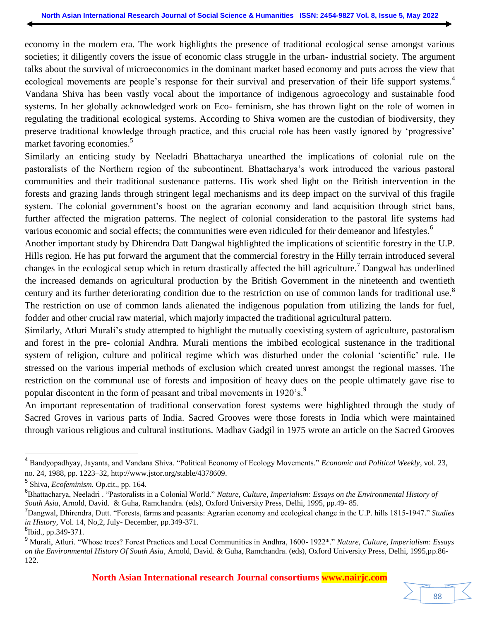economy in the modern era. The work highlights the presence of traditional ecological sense amongst various societies; it diligently covers the issue of economic class struggle in the urban- industrial society. The argument talks about the survival of microeconomics in the dominant market based economy and puts across the view that ecological movements are people's response for their survival and preservation of their life support systems.<sup>4</sup> Vandana Shiva has been vastly vocal about the importance of indigenous agroecology and sustainable food systems. In her globally acknowledged work on Eco- feminism, she has thrown light on the role of women in regulating the traditional ecological systems. According to Shiva women are the custodian of biodiversity, they preserve traditional knowledge through practice, and this crucial role has been vastly ignored by "progressive" market favoring economies.<sup>5</sup>

Similarly an enticing study by Neeladri Bhattacharya unearthed the implications of colonial rule on the pastoralists of the Northern region of the subcontinent. Bhattacharya"s work introduced the various pastoral communities and their traditional sustenance patterns. His work shed light on the British intervention in the forests and grazing lands through stringent legal mechanisms and its deep impact on the survival of this fragile system. The colonial government's boost on the agrarian economy and land acquisition through strict bans, further affected the migration patterns. The neglect of colonial consideration to the pastoral life systems had various economic and social effects; the communities were even ridiculed for their demeanor and lifestyles.<sup>6</sup>

Another important study by Dhirendra Datt Dangwal highlighted the implications of scientific forestry in the U.P. Hills region. He has put forward the argument that the commercial forestry in the Hilly terrain introduced several changes in the ecological setup which in return drastically affected the hill agriculture.<sup>7</sup> Dangwal has underlined the increased demands on agricultural production by the British Government in the nineteenth and twentieth century and its further deteriorating condition due to the restriction on use of common lands for traditional use.<sup>8</sup> The restriction on use of common lands alienated the indigenous population from utilizing the lands for fuel, fodder and other crucial raw material, which majorly impacted the traditional agricultural pattern.

Similarly, Atluri Murali"s study attempted to highlight the mutually coexisting system of agriculture, pastoralism and forest in the pre- colonial Andhra. Murali mentions the imbibed ecological sustenance in the traditional system of religion, culture and political regime which was disturbed under the colonial 'scientific' rule. He stressed on the various imperial methods of exclusion which created unrest amongst the regional masses. The restriction on the communal use of forests and imposition of heavy dues on the people ultimately gave rise to popular discontent in the form of peasant and tribal movements in 1920's.<sup>9</sup>

An important representation of traditional conservation forest systems were highlighted through the study of Sacred Groves in various parts of India. Sacred Grooves were those forests in India which were maintained through various religious and cultural institutions. Madhav Gadgil in 1975 wrote an article on the Sacred Grooves

<sup>4</sup> Bandyopadhyay, Jayanta, and Vandana Shiva. "Political Economy of Ecology Movements." *Economic and Political Weekly*, vol. 23, no. 24, 1988, pp. 1223–32[, http://www.jstor.org/stable/4378609.](http://www.jstor.org/stable/4378609)

<sup>5</sup> Shiva, *Ecofeminism.* Op.cit., pp. 164.

<sup>6</sup> Bhattacharya, Neeladri . "Pastoralists in a Colonial World." *Nature, Culture, Imperialism: Essays on the Environmental History of South Asia*, Arnold, David. & Guha, Ramchandra. (eds), Oxford University Press, Delhi, 1995, pp.49- 85.

<sup>7</sup>Dangwal, Dhirendra, Dutt. "Forests, farms and peasants: Agrarian economy and ecological change in the U.P. hills 1815-1947." *Studies in History*, Vol. 14, No,2, July- December, pp.349-371.

<sup>&</sup>lt;sup>8</sup>Ibid., pp.349-371.

<sup>9</sup> Murali, Atluri. "Whose trees? Forest Practices and Local Communities in Andhra, 1600- 1922\*." *Nature, Culture, Imperialism: Essays on the Environmental History Of South Asia*, Arnold, David. & Guha, Ramchandra. (eds), Oxford University Press, Delhi, 1995,pp.86- 122.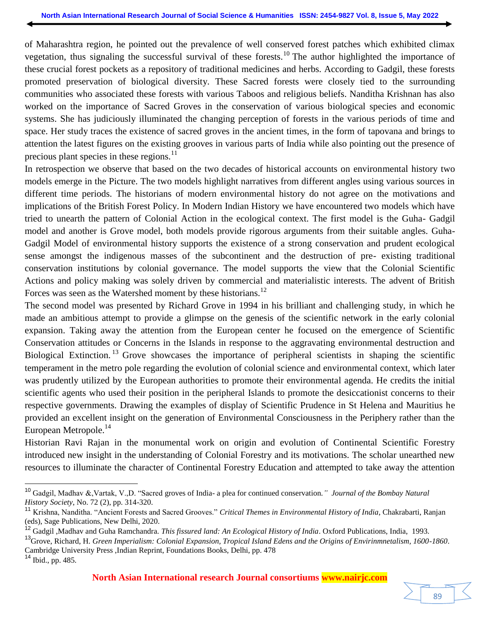of Maharashtra region, he pointed out the prevalence of well conserved forest patches which exhibited climax vegetation, thus signaling the successful survival of these forests.<sup>10</sup> The author highlighted the importance of these crucial forest pockets as a repository of traditional medicines and herbs. According to Gadgil, these forests promoted preservation of biological diversity. These Sacred forests were closely tied to the surrounding communities who associated these forests with various Taboos and religious beliefs. Nanditha Krishnan has also worked on the importance of Sacred Groves in the conservation of various biological species and economic systems. She has judiciously illuminated the changing perception of forests in the various periods of time and space. Her study traces the existence of sacred groves in the ancient times, in the form of tapovana and brings to attention the latest figures on the existing grooves in various parts of India while also pointing out the presence of precious plant species in these regions. $^{11}$ 

In retrospection we observe that based on the two decades of historical accounts on environmental history two models emerge in the Picture. The two models highlight narratives from different angles using various sources in different time periods. The historians of modern environmental history do not agree on the motivations and implications of the British Forest Policy. In Modern Indian History we have encountered two models which have tried to unearth the pattern of Colonial Action in the ecological context. The first model is the Guha- Gadgil model and another is Grove model, both models provide rigorous arguments from their suitable angles. Guha-Gadgil Model of environmental history supports the existence of a strong conservation and prudent ecological sense amongst the indigenous masses of the subcontinent and the destruction of pre- existing traditional conservation institutions by colonial governance. The model supports the view that the Colonial Scientific Actions and policy making was solely driven by commercial and materialistic interests. The advent of British Forces was seen as the Watershed moment by these historians.<sup>12</sup>

The second model was presented by Richard Grove in 1994 in his brilliant and challenging study, in which he made an ambitious attempt to provide a glimpse on the genesis of the scientific network in the early colonial expansion. Taking away the attention from the European center he focused on the emergence of Scientific Conservation attitudes or Concerns in the Islands in response to the aggravating environmental destruction and Biological Extinction.<sup>13</sup> Grove showcases the importance of peripheral scientists in shaping the scientific temperament in the metro pole regarding the evolution of colonial science and environmental context, which later was prudently utilized by the European authorities to promote their environmental agenda. He credits the initial scientific agents who used their position in the peripheral Islands to promote the desiccationist concerns to their respective governments. Drawing the examples of display of Scientific Prudence in St Helena and Mauritius he provided an excellent insight on the generation of Environmental Consciousness in the Periphery rather than the European Metropole.<sup>14</sup>

Historian Ravi Rajan in the monumental work on origin and evolution of Continental Scientific Forestry introduced new insight in the understanding of Colonial Forestry and its motivations. The scholar unearthed new resources to illuminate the character of Continental Forestry Education and attempted to take away the attention

<sup>10</sup> Gadgil, Madhav &,Vartak, V.,D. "Sacred groves of India- a plea for continued conservation.*" Journal of the Bombay Natural History Society*, No. 72 (2), pp. 314-320.

<sup>11</sup> Krishna, Nanditha. "Ancient Forests and Sacred Grooves." *Critical Themes in Environmental History of India*, Chakrabarti, Ranjan (eds), Sage Publications, New Delhi, 2020.

<sup>12</sup> Gadgil ,Madhav and Guha Ramchandra. *This fissured land: An Ecological History of India*. Oxford Publications, India, 1993.

<sup>13</sup>Grove, Richard, H. *Green Imperialism: Colonial Expansion, Tropical Island Edens and the Origins of Envirinmnetalism, 1600-1860*. Cambridge University Press ,Indian Reprint, Foundations Books, Delhi, pp. 478

<sup>14</sup> Ibid., pp. 485.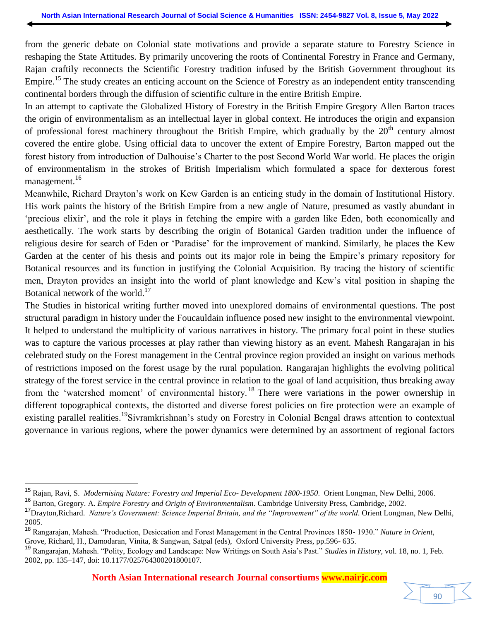from the generic debate on Colonial state motivations and provide a separate stature to Forestry Science in reshaping the State Attitudes. By primarily uncovering the roots of Continental Forestry in France and Germany, Rajan craftily reconnects the Scientific Forestry tradition infused by the British Government throughout its Empire.<sup>15</sup> The study creates an enticing account on the Science of Forestry as an independent entity transcending continental borders through the diffusion of scientific culture in the entire British Empire.

In an attempt to captivate the Globalized History of Forestry in the British Empire Gregory Allen Barton traces the origin of environmentalism as an intellectual layer in global context. He introduces the origin and expansion of professional forest machinery throughout the British Empire, which gradually by the  $20<sup>th</sup>$  century almost covered the entire globe. Using official data to uncover the extent of Empire Forestry, Barton mapped out the forest history from introduction of Dalhouise"s Charter to the post Second World War world. He places the origin of environmentalism in the strokes of British Imperialism which formulated a space for dexterous forest management.<sup>16</sup>

Meanwhile, Richard Drayton"s work on Kew Garden is an enticing study in the domain of Institutional History. His work paints the history of the British Empire from a new angle of Nature, presumed as vastly abundant in "precious elixir", and the role it plays in fetching the empire with a garden like Eden, both economically and aesthetically. The work starts by describing the origin of Botanical Garden tradition under the influence of religious desire for search of Eden or "Paradise" for the improvement of mankind. Similarly, he places the Kew Garden at the center of his thesis and points out its major role in being the Empire"s primary repository for Botanical resources and its function in justifying the Colonial Acquisition. By tracing the history of scientific men, Drayton provides an insight into the world of plant knowledge and Kew"s vital position in shaping the Botanical network of the world.<sup>17</sup>

The Studies in historical writing further moved into unexplored domains of environmental questions. The post structural paradigm in history under the Foucauldain influence posed new insight to the environmental viewpoint. It helped to understand the multiplicity of various narratives in history. The primary focal point in these studies was to capture the various processes at play rather than viewing history as an event. Mahesh Rangarajan in his celebrated study on the Forest management in the Central province region provided an insight on various methods of restrictions imposed on the forest usage by the rural population. Rangarajan highlights the evolving political strategy of the forest service in the central province in relation to the goal of land acquisition, thus breaking away from the 'watershed moment' of environmental history.<sup>18</sup> There were variations in the power ownership in different topographical contexts, the distorted and diverse forest policies on fire protection were an example of existing parallel realities.<sup>19</sup>Sivramkrishnan's study on Forestry in Colonial Bengal draws attention to contextual governance in various regions, where the power dynamics were determined by an assortment of regional factors



<sup>15</sup> Rajan, Ravi, S. *Modernising Nature: Forestry and Imperial Eco- Development 1800-1950*. Orient Longman, New Delhi, 2006.

<sup>16</sup> Barton, Gregory. A. *Empire Forestry and Origin of Environmentalism*. Cambridge University Press, Cambridge, 2002.

<sup>17</sup>Drayton,Richard. *Nature's Government: Science Imperial Britain, and the "Improvement" of the world*. Orient Longman, New Delhi, 2005.

<sup>18</sup> Rangarajan, Mahesh. "Production, Desiccation and Forest Management in the Central Provinces 1850- 1930." *Nature in Orient*, Grove, Richard, H., Damodaran, Vinita, & Sangwan, Satpal (eds), Oxford University Press, pp.596- 635.

<sup>19</sup> Rangarajan, Mahesh. "Polity, Ecology and Landscape: New Writings on South Asia"s Past." *Studies in History*, vol. 18, no. 1, Feb. 2002, pp. 135–147, doi: 10.1177/025764300201800107.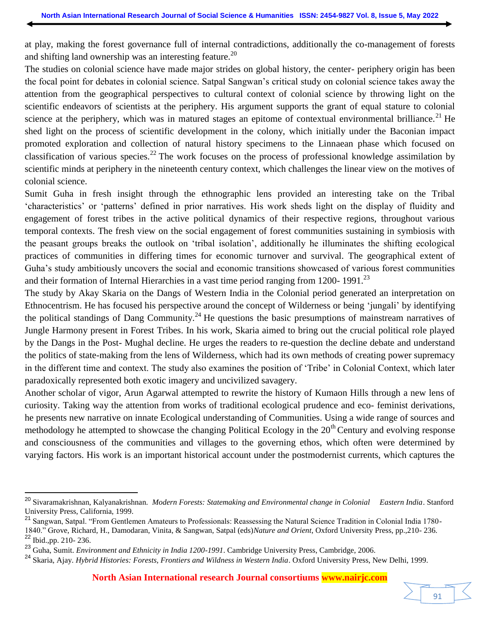at play, making the forest governance full of internal contradictions, additionally the co-management of forests and shifting land ownership was an interesting feature.<sup>20</sup>

The studies on colonial science have made major strides on global history, the center- periphery origin has been the focal point for debates in colonial science. Satpal Sangwan"s critical study on colonial science takes away the attention from the geographical perspectives to cultural context of colonial science by throwing light on the scientific endeavors of scientists at the periphery. His argument supports the grant of equal stature to colonial science at the periphery, which was in matured stages an epitome of contextual environmental brilliance.<sup>21</sup> He shed light on the process of scientific development in the colony, which initially under the Baconian impact promoted exploration and collection of natural history specimens to the Linnaean phase which focused on classification of various species.<sup>22</sup> The work focuses on the process of professional knowledge assimilation by scientific minds at periphery in the nineteenth century context, which challenges the linear view on the motives of colonial science.

Sumit Guha in fresh insight through the ethnographic lens provided an interesting take on the Tribal "characteristics" or "patterns" defined in prior narratives. His work sheds light on the display of fluidity and engagement of forest tribes in the active political dynamics of their respective regions, throughout various temporal contexts. The fresh view on the social engagement of forest communities sustaining in symbiosis with the peasant groups breaks the outlook on "tribal isolation", additionally he illuminates the shifting ecological practices of communities in differing times for economic turnover and survival. The geographical extent of Guha"s study ambitiously uncovers the social and economic transitions showcased of various forest communities and their formation of Internal Hierarchies in a vast time period ranging from  $1200 - 1991$ .<sup>23</sup>

The study by Akay Skaria on the Dangs of Western India in the Colonial period generated an interpretation on Ethnocentrism. He has focused his perspective around the concept of Wilderness or being "jungali" by identifying the political standings of Dang Community.<sup>24</sup> He questions the basic presumptions of mainstream narratives of Jungle Harmony present in Forest Tribes. In his work, Skaria aimed to bring out the crucial political role played by the Dangs in the Post- Mughal decline. He urges the readers to re-question the decline debate and understand the politics of state-making from the lens of Wilderness, which had its own methods of creating power supremacy in the different time and context. The study also examines the position of "Tribe" in Colonial Context, which later paradoxically represented both exotic imagery and uncivilized savagery.

Another scholar of vigor, Arun Agarwal attempted to rewrite the history of Kumaon Hills through a new lens of curiosity. Taking way the attention from works of traditional ecological prudence and eco- feminist derivations, he presents new narrative on innate Ecological understanding of Communities. Using a wide range of sources and methodology he attempted to showcase the changing Political Ecology in the  $20<sup>th</sup>$  Century and evolving response and consciousness of the communities and villages to the governing ethos, which often were determined by varying factors. His work is an important historical account under the postmodernist currents, which captures the

<sup>20</sup> Sivaramakrishnan, Kalyanakrishnan. *Modern Forests: Statemaking and Environmental change in Colonial Eastern India*. Stanford University Press, California, 1999.

<sup>&</sup>lt;sup>21</sup> Sangwan, Satpal. "From Gentlemen Amateurs to Professionals: Reassessing the Natural Science Tradition in Colonial India 1780-

<sup>1840.&</sup>quot; Grove, Richard, H., Damodaran, Vinita, & Sangwan, Satpal (eds)*Nature and Orient*, Oxford University Press, pp.,210- 236. <sup>22</sup> Ibid.,pp. 210- 236.

<sup>&</sup>lt;sup>23</sup> Guha, Sumit. *Environment and Ethnicity in India 1200-1991*. Cambridge University Press, Cambridge, 2006.

<sup>24</sup> Skaria, Ajay. *Hybrid Histories: Forests, Frontiers and Wildness in Western India*. Oxford University Press, New Delhi, 1999.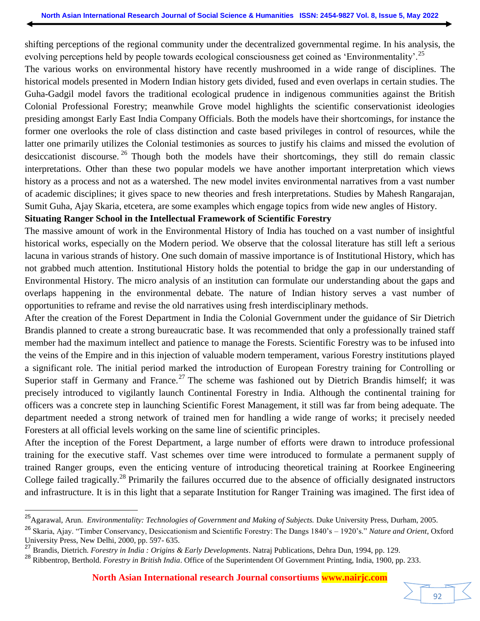shifting perceptions of the regional community under the decentralized governmental regime. In his analysis, the evolving perceptions held by people towards ecological consciousness get coined as 'Environmentality'.<sup>25</sup>

The various works on environmental history have recently mushroomed in a wide range of disciplines. The historical models presented in Modern Indian history gets divided, fused and even overlaps in certain studies. The Guha-Gadgil model favors the traditional ecological prudence in indigenous communities against the British Colonial Professional Forestry; meanwhile Grove model highlights the scientific conservationist ideologies presiding amongst Early East India Company Officials. Both the models have their shortcomings, for instance the former one overlooks the role of class distinction and caste based privileges in control of resources, while the latter one primarily utilizes the Colonial testimonies as sources to justify his claims and missed the evolution of desiccationist discourse.<sup>26</sup> Though both the models have their shortcomings, they still do remain classic interpretations. Other than these two popular models we have another important interpretation which views history as a process and not as a watershed. The new model invites environmental narratives from a vast number of academic disciplines; it gives space to new theories and fresh interpretations. Studies by Mahesh Rangarajan, Sumit Guha, Ajay Skaria, etcetera, are some examples which engage topics from wide new angles of History.

# **Situating Ranger School in the Intellectual Framework of Scientific Forestry**

The massive amount of work in the Environmental History of India has touched on a vast number of insightful historical works, especially on the Modern period. We observe that the colossal literature has still left a serious lacuna in various strands of history. One such domain of massive importance is of Institutional History, which has not grabbed much attention. Institutional History holds the potential to bridge the gap in our understanding of Environmental History. The micro analysis of an institution can formulate our understanding about the gaps and overlaps happening in the environmental debate. The nature of Indian history serves a vast number of opportunities to reframe and revise the old narratives using fresh interdisciplinary methods.

After the creation of the Forest Department in India the Colonial Government under the guidance of Sir Dietrich Brandis planned to create a strong bureaucratic base. It was recommended that only a professionally trained staff member had the maximum intellect and patience to manage the Forests. Scientific Forestry was to be infused into the veins of the Empire and in this injection of valuable modern temperament, various Forestry institutions played a significant role. The initial period marked the introduction of European Forestry training for Controlling or Superior staff in Germany and France.<sup>27</sup> The scheme was fashioned out by Dietrich Brandis himself; it was precisely introduced to vigilantly launch Continental Forestry in India. Although the continental training for officers was a concrete step in launching Scientific Forest Management, it still was far from being adequate. The department needed a strong network of trained men for handling a wide range of works; it precisely needed Foresters at all official levels working on the same line of scientific principles.

After the inception of the Forest Department, a large number of efforts were drawn to introduce professional training for the executive staff. Vast schemes over time were introduced to formulate a permanent supply of trained Ranger groups, even the enticing venture of introducing theoretical training at Roorkee Engineering College failed tragically.<sup>28</sup> Primarily the failures occurred due to the absence of officially designated instructors and infrastructure. It is in this light that a separate Institution for Ranger Training was imagined. The first idea of

<sup>25</sup>Agarawal, Arun. *Environmentality: Technologies of Government and Making of Subjects.* Duke University Press, Durham, 2005.

<sup>26</sup> Skaria, Ajay. "Timber Conservancy, Desiccationism and Scientific Forestry: The Dangs 1840"s – 1920"s." *Nature and Orient*, Oxford University Press, New Delhi, 2000, pp. 597- 635.

<sup>27</sup> Brandis, Dietrich. *Forestry in India : Origins & Early Developments*. Natraj Publications, Dehra Dun, 1994, pp. 129.

<sup>28</sup> Ribbentrop, Berthold. *Forestry in British India*. Office of the Superintendent Of Government Printing, India, 1900, pp. 233.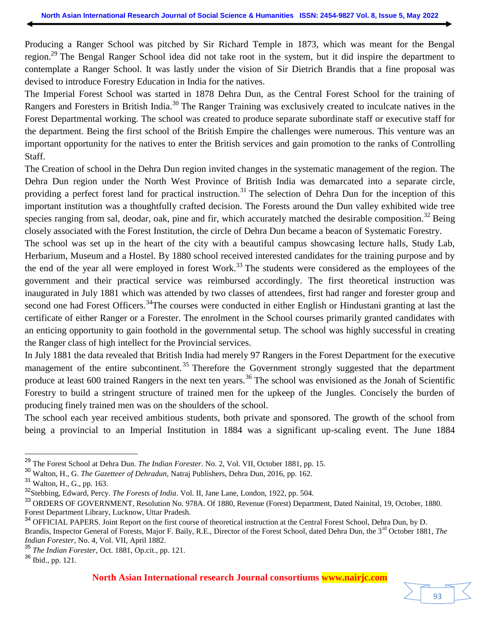Producing a Ranger School was pitched by Sir Richard Temple in 1873, which was meant for the Bengal region.<sup>29</sup> The Bengal Ranger School idea did not take root in the system, but it did inspire the department to contemplate a Ranger School. It was lastly under the vision of Sir Dietrich Brandis that a fine proposal was devised to introduce Forestry Education in India for the natives.

The Imperial Forest School was started in 1878 Dehra Dun, as the Central Forest School for the training of Rangers and Foresters in British India.<sup>30</sup> The Ranger Training was exclusively created to inculcate natives in the Forest Departmental working. The school was created to produce separate subordinate staff or executive staff for the department. Being the first school of the British Empire the challenges were numerous. This venture was an important opportunity for the natives to enter the British services and gain promotion to the ranks of Controlling Staff.

The Creation of school in the Dehra Dun region invited changes in the systematic management of the region. The Dehra Dun region under the North West Province of British India was demarcated into a separate circle, providing a perfect forest land for practical instruction.<sup>31</sup> The selection of Dehra Dun for the inception of this important institution was a thoughtfully crafted decision. The Forests around the Dun valley exhibited wide tree species ranging from sal, deodar, oak, pine and fir, which accurately matched the desirable composition.<sup>32</sup> Being closely associated with the Forest Institution, the circle of Dehra Dun became a beacon of Systematic Forestry.

The school was set up in the heart of the city with a beautiful campus showcasing lecture halls, Study Lab, Herbarium, Museum and a Hostel. By 1880 school received interested candidates for the training purpose and by the end of the year all were employed in forest Work.<sup>33</sup> The students were considered as the employees of the government and their practical service was reimbursed accordingly. The first theoretical instruction was inaugurated in July 1881 which was attended by two classes of attendees, first had ranger and forester group and second one had Forest Officers.<sup>34</sup>The courses were conducted in either English or Hindustani granting at last the certificate of either Ranger or a Forester. The enrolment in the School courses primarily granted candidates with an enticing opportunity to gain foothold in the governmental setup. The school was highly successful in creating the Ranger class of high intellect for the Provincial services.

In July 1881 the data revealed that British India had merely 97 Rangers in the Forest Department for the executive management of the entire subcontinent.<sup>35</sup> Therefore the Government strongly suggested that the department produce at least 600 trained Rangers in the next ten years.<sup>36</sup> The school was envisioned as the Jonah of Scientific Forestry to build a stringent structure of trained men for the upkeep of the Jungles. Concisely the burden of producing finely trained men was on the shoulders of the school.

The school each year received ambitious students, both private and sponsored. The growth of the school from being a provincial to an Imperial Institution in 1884 was a significant up-scaling event. The June 1884

l

**North Asian International research Journal consortiums www.nairjc.com**

93

<sup>29</sup> The Forest School at Dehra Dun. *The Indian Forester*. No. 2, Vol. VII, October 1881, pp. 15.

<sup>30</sup> Walton, H., G. *The Gazetteer of Dehradun,* Natraj Publishers, Dehra Dun, 2016, pp. 162.

<sup>31</sup> Walton, H., G., pp. 163.

<sup>&</sup>lt;sup>32</sup>Stebbing, Edward, Percy. *The Forests of India*. Vol. II, Jane Lane, London, 1922, pp. 504.

<sup>33</sup> ORDERS OF GOVERNMENT, Resolution No. 978A. Of 1880, Revenue (Forest) Department, Dated Nainital, 19, October, 1880. Forest Department Library, Lucknow, Uttar Pradesh.

<sup>&</sup>lt;sup>34</sup> OFFICIAL PAPERS. Joint Report on the first course of theoretical instruction at the Central Forest School, Dehra Dun, by D. Brandis, Inspector General of Forests, Major F. Baily, R.E., Director of the Forest School, dated Dehra Dun, the 3<sup>rd</sup> October 1881, *The Indian Forester*, No. 4, Vol. VII, April 1882.

<sup>35</sup> *The Indian Forester*, Oct. 1881, Op.cit., pp. 121.

<sup>36</sup> Ibid., pp. 121.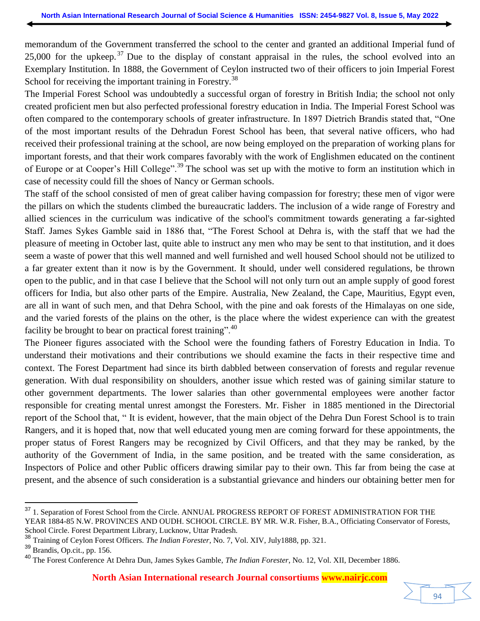memorandum of the Government transferred the school to the center and granted an additional Imperial fund of 25,000 for the upkeep.<sup>37</sup> Due to the display of constant appraisal in the rules, the school evolved into an Exemplary Institution. In 1888, the Government of Ceylon instructed two of their officers to join Imperial Forest School for receiving the important training in Forestry.<sup>38</sup>

The Imperial Forest School was undoubtedly a successful organ of forestry in British India; the school not only created proficient men but also perfected professional forestry education in India. The Imperial Forest School was often compared to the contemporary schools of greater infrastructure. In 1897 Dietrich Brandis stated that, "One of the most important results of the Dehradun Forest School has been, that several native officers, who had received their professional training at the school, are now being employed on the preparation of working plans for important forests, and that their work compares favorably with the work of Englishmen educated on the continent of Europe or at Cooper's Hill College".<sup>39</sup> The school was set up with the motive to form an institution which in case of necessity could fill the shoes of Nancy or German schools.

The staff of the school consisted of men of great caliber having compassion for forestry; these men of vigor were the pillars on which the students climbed the bureaucratic ladders. The inclusion of a wide range of Forestry and allied sciences in the curriculum was indicative of the school's commitment towards generating a far-sighted Staff. James Sykes Gamble said in 1886 that, "The Forest School at Dehra is, with the staff that we had the pleasure of meeting in October last, quite able to instruct any men who may be sent to that institution, and it does seem a waste of power that this well manned and well furnished and well housed School should not be utilized to a far greater extent than it now is by the Government. It should, under well considered regulations, be thrown open to the public, and in that case I believe that the School will not only turn out an ample supply of good forest officers for India, but also other parts of the Empire. Australia, New Zealand, the Cape, Mauritius, Egypt even, are all in want of such men, and that Dehra School, with the pine and oak forests of the Himalayas on one side, and the varied forests of the plains on the other, is the place where the widest experience can with the greatest facility be brought to bear on practical forest training".<sup>40</sup>

The Pioneer figures associated with the School were the founding fathers of Forestry Education in India. To understand their motivations and their contributions we should examine the facts in their respective time and context. The Forest Department had since its birth dabbled between conservation of forests and regular revenue generation. With dual responsibility on shoulders, another issue which rested was of gaining similar stature to other government departments. The lower salaries than other governmental employees were another factor responsible for creating mental unrest amongst the Foresters. Mr. Fisher in 1885 mentioned in the Directorial report of the School that, " It is evident, however, that the main object of the Dehra Dun Forest School is to train Rangers, and it is hoped that, now that well educated young men are coming forward for these appointments, the proper status of Forest Rangers may be recognized by Civil Officers, and that they may be ranked, by the authority of the Government of India, in the same position, and be treated with the same consideration, as Inspectors of Police and other Public officers drawing similar pay to their own. This far from being the case at present, and the absence of such consideration is a substantial grievance and hinders our obtaining better men for

94

<sup>&</sup>lt;sup>37</sup> 1. Separation of Forest School from the Circle. ANNUAL PROGRESS REPORT OF FOREST ADMINISTRATION FOR THE YEAR 1884-85 N.W. PROVINCES AND OUDH. SCHOOL CIRCLE. BY MR. W.R. Fisher, B.A., Officiating Conservator of Forests, School Circle. Forest Department Library, Lucknow, Uttar Pradesh.

<sup>38</sup> Training of Ceylon Forest Officers. *The Indian Forester*, No. 7, Vol. XIV, July1888, pp. 321.

<sup>39</sup> Brandis, Op.cit., pp. 156.

<sup>40</sup> The Forest Conference At Dehra Dun, James Sykes Gamble, *The Indian Forester*, No. 12, Vol. XII, December 1886.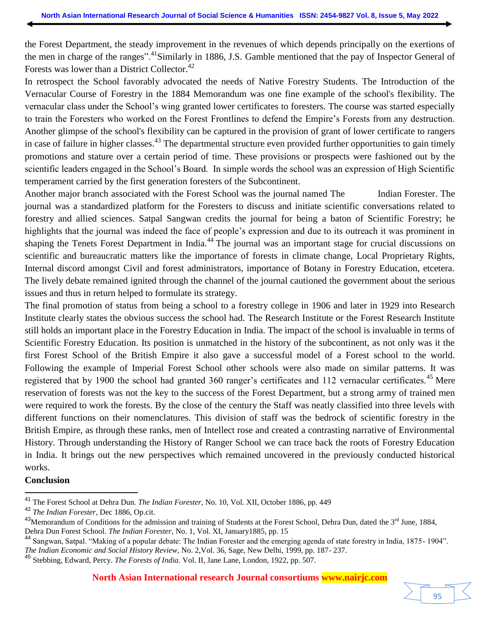the Forest Department, the steady improvement in the revenues of which depends principally on the exertions of the men in charge of the ranges".<sup>41</sup>Similarly in 1886, J.S. Gamble mentioned that the pay of Inspector General of Forests was lower than a District Collector. $42$ 

In retrospect the School favorably advocated the needs of Native Forestry Students. The Introduction of the Vernacular Course of Forestry in the 1884 Memorandum was one fine example of the school's flexibility. The vernacular class under the School"s wing granted lower certificates to foresters. The course was started especially to train the Foresters who worked on the Forest Frontlines to defend the Empire"s Forests from any destruction. Another glimpse of the school's flexibility can be captured in the provision of grant of lower certificate to rangers in case of failure in higher classes.<sup>43</sup> The departmental structure even provided further opportunities to gain timely promotions and stature over a certain period of time. These provisions or prospects were fashioned out by the scientific leaders engaged in the School"s Board. In simple words the school was an expression of High Scientific temperament carried by the first generation foresters of the Subcontinent.

Another major branch associated with the Forest School was the journal named The Indian Forester. The journal was a standardized platform for the Foresters to discuss and initiate scientific conversations related to forestry and allied sciences. Satpal Sangwan credits the journal for being a baton of Scientific Forestry; he highlights that the journal was indeed the face of people's expression and due to its outreach it was prominent in shaping the Tenets Forest Department in India.<sup>44</sup> The journal was an important stage for crucial discussions on scientific and bureaucratic matters like the importance of forests in climate change, Local Proprietary Rights, Internal discord amongst Civil and forest administrators, importance of Botany in Forestry Education, etcetera. The lively debate remained ignited through the channel of the journal cautioned the government about the serious issues and thus in return helped to formulate its strategy.

The final promotion of status from being a school to a forestry college in 1906 and later in 1929 into Research Institute clearly states the obvious success the school had. The Research Institute or the Forest Research Institute still holds an important place in the Forestry Education in India. The impact of the school is invaluable in terms of Scientific Forestry Education. Its position is unmatched in the history of the subcontinent, as not only was it the first Forest School of the British Empire it also gave a successful model of a Forest school to the world. Following the example of Imperial Forest School other schools were also made on similar patterns. It was registered that by 1900 the school had granted 360 ranger's certificates and 112 vernacular certificates.<sup>45</sup> Mere reservation of forests was not the key to the success of the Forest Department, but a strong army of trained men were required to work the forests. By the close of the century the Staff was neatly classified into three levels with different functions on their nomenclatures. This division of staff was the bedrock of scientific forestry in the British Empire, as through these ranks, men of Intellect rose and created a contrasting narrative of Environmental History. Through understanding the History of Ranger School we can trace back the roots of Forestry Education in India. It brings out the new perspectives which remained uncovered in the previously conducted historical works.

#### **Conclusion**



<sup>41</sup> The Forest School at Dehra Dun. *The Indian Forester*, No. 10, Vol. XII, October 1886, pp. 449

<sup>42</sup> *The Indian Forester*, Dec 1886, Op.cit.

<sup>&</sup>lt;sup>43</sup>Memorandum of Conditions for the admission and training of Students at the Forest School, Dehra Dun, dated the  $3<sup>rd</sup>$  June, 1884, Dehra Dun Forest School. *The Indian Forester*, No. 1, Vol. XI, January1885, pp. 15

<sup>44</sup> Sangwan, Satpal. "Making of a popular debate: The Indian Forester and the emerging agenda of state forestry in India, 1875- 1904". *The Indian Economic and Social History Review*, No. 2,Vol. 36, Sage, New Delhi, 1999, pp. 187- 237.

<sup>45</sup> Stebbing, Edward, Percy. *The Forests of India*. Vol. II, Jane Lane, London, 1922, pp. 507.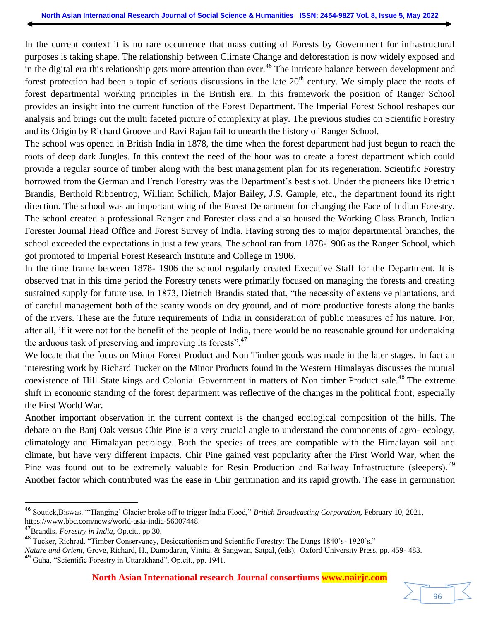In the current context it is no rare occurrence that mass cutting of Forests by Government for infrastructural purposes is taking shape. The relationship between Climate Change and deforestation is now widely exposed and in the digital era this relationship gets more attention than ever.<sup>46</sup> The intricate balance between development and forest protection had been a topic of serious discussions in the late  $20<sup>th</sup>$  century. We simply place the roots of forest departmental working principles in the British era. In this framework the position of Ranger School provides an insight into the current function of the Forest Department. The Imperial Forest School reshapes our analysis and brings out the multi faceted picture of complexity at play. The previous studies on Scientific Forestry and its Origin by Richard Groove and Ravi Rajan fail to unearth the history of Ranger School.

The school was opened in British India in 1878, the time when the forest department had just begun to reach the roots of deep dark Jungles. In this context the need of the hour was to create a forest department which could provide a regular source of timber along with the best management plan for its regeneration. Scientific Forestry borrowed from the German and French Forestry was the Department"s best shot. Under the pioneers like Dietrich Brandis, Berthold Ribbentrop, William Schilich, Major Bailey, J.S. Gample, etc., the department found its right direction. The school was an important wing of the Forest Department for changing the Face of Indian Forestry. The school created a professional Ranger and Forester class and also housed the Working Class Branch, Indian Forester Journal Head Office and Forest Survey of India. Having strong ties to major departmental branches, the school exceeded the expectations in just a few years. The school ran from 1878-1906 as the Ranger School, which got promoted to Imperial Forest Research Institute and College in 1906.

In the time frame between 1878- 1906 the school regularly created Executive Staff for the Department. It is observed that in this time period the Forestry tenets were primarily focused on managing the forests and creating sustained supply for future use. In 1873, Dietrich Brandis stated that, "the necessity of extensive plantations, and of careful management both of the scanty woods on dry ground, and of more productive forests along the banks of the rivers. These are the future requirements of India in consideration of public measures of his nature. For, after all, if it were not for the benefit of the people of India, there would be no reasonable ground for undertaking the arduous task of preserving and improving its forests".<sup>47</sup>

We locate that the focus on Minor Forest Product and Non Timber goods was made in the later stages. In fact an interesting work by Richard Tucker on the Minor Products found in the Western Himalayas discusses the mutual coexistence of Hill State kings and Colonial Government in matters of Non timber Product sale.<sup>48</sup> The extreme shift in economic standing of the forest department was reflective of the changes in the political front, especially the First World War.

Another important observation in the current context is the changed ecological composition of the hills. The debate on the Banj Oak versus Chir Pine is a very crucial angle to understand the components of agro- ecology, climatology and Himalayan pedology. Both the species of trees are compatible with the Himalayan soil and climate, but have very different impacts. Chir Pine gained vast popularity after the First World War, when the Pine was found out to be extremely valuable for Resin Production and Railway Infrastructure (sleepers). <sup>49</sup> Another factor which contributed was the ease in Chir germination and its rapid growth. The ease in germination

<sup>46</sup> Soutick,Biswas. ""Hanging" Glacier broke off to trigger India Flood," *British Broadcasting Corporation*, February 10, 2021, https://www.bbc.com/news/world-asia-india-56007448.

<sup>47</sup>Brandis, *Forestry in India*, Op.cit., pp.30.

<sup>48</sup> Tucker, Richrad. "Timber Conservancy, Desiccationism and Scientific Forestry: The Dangs 1840"s- 1920"s."

*Nature and Orient*, Grove, Richard, H., Damodaran, Vinita, & Sangwan, Satpal, (eds), Oxford University Press, pp. 459- 483. <sup>49</sup> Guha, "Scientific Forestry in Uttarakhand", Op.cit., pp. 1941.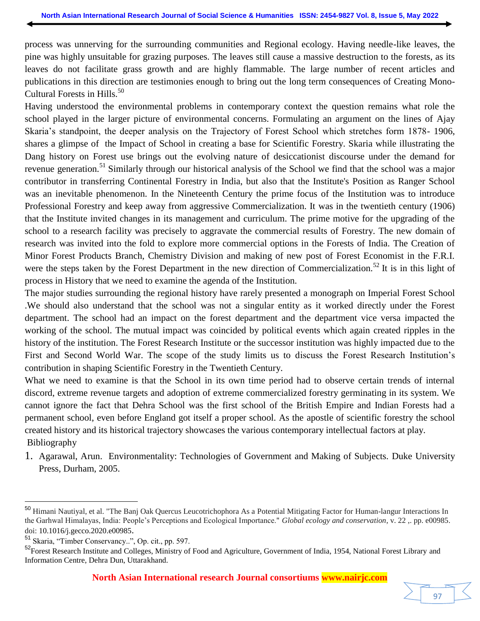process was unnerving for the surrounding communities and Regional ecology. Having needle-like leaves, the pine was highly unsuitable for grazing purposes. The leaves still cause a massive destruction to the forests, as its leaves do not facilitate grass growth and are highly flammable. The large number of recent articles and publications in this direction are testimonies enough to bring out the long term consequences of Creating Mono-Cultural Forests in Hills.<sup>50</sup>

Having understood the environmental problems in contemporary context the question remains what role the school played in the larger picture of environmental concerns. Formulating an argument on the lines of Ajay Skaria's standpoint, the deeper analysis on the Trajectory of Forest School which stretches form 1878- 1906, shares a glimpse of the Impact of School in creating a base for Scientific Forestry. Skaria while illustrating the Dang history on Forest use brings out the evolving nature of desiccationist discourse under the demand for revenue generation.<sup>51</sup> Similarly through our historical analysis of the School we find that the school was a major contributor in transferring Continental Forestry in India, but also that the Institute's Position as Ranger School was an inevitable phenomenon. In the Nineteenth Century the prime focus of the Institution was to introduce Professional Forestry and keep away from aggressive Commercialization. It was in the twentieth century (1906) that the Institute invited changes in its management and curriculum. The prime motive for the upgrading of the school to a research facility was precisely to aggravate the commercial results of Forestry. The new domain of research was invited into the fold to explore more commercial options in the Forests of India. The Creation of Minor Forest Products Branch, Chemistry Division and making of new post of Forest Economist in the F.R.I. were the steps taken by the Forest Department in the new direction of Commercialization.<sup>52</sup> It is in this light of process in History that we need to examine the agenda of the Institution.

The major studies surrounding the regional history have rarely presented a monograph on Imperial Forest School .We should also understand that the school was not a singular entity as it worked directly under the Forest department. The school had an impact on the forest department and the department vice versa impacted the working of the school. The mutual impact was coincided by political events which again created ripples in the history of the institution. The Forest Research Institute or the successor institution was highly impacted due to the First and Second World War. The scope of the study limits us to discuss the Forest Research Institution"s contribution in shaping Scientific Forestry in the Twentieth Century.

What we need to examine is that the School in its own time period had to observe certain trends of internal discord, extreme revenue targets and adoption of extreme commercialized forestry germinating in its system. We cannot ignore the fact that Dehra School was the first school of the British Empire and Indian Forests had a permanent school, even before England got itself a proper school. As the apostle of scientific forestry the school created history and its historical trajectory showcases the various contemporary intellectual factors at play. Bibliography

1. Agarawal, Arun. Environmentality: Technologies of Government and Making of Subjects. Duke University Press, Durham, 2005.

<sup>50</sup> Himani Nautiyal, et al. "The Banj Oak Quercus Leucotrichophora As a Potential Mitigating Factor for Human-langur Interactions In the Garhwal Himalayas, India: People's Perceptions and Ecological Importance." *Global ecology and conservation*, v. 22, pp. e00985. doi: [10.1016/j.gecco.2020.e00985](https://doi.org/10.1016/j.gecco.2020.e00985).

<sup>51</sup> Skaria, "Timber Conservancy..", Op. cit., pp. 597.

<sup>&</sup>lt;sup>52</sup>Forest Research Institute and Colleges, Ministry of Food and Agriculture, Government of India, 1954, National Forest Library and Information Centre, Dehra Dun, Uttarakhand.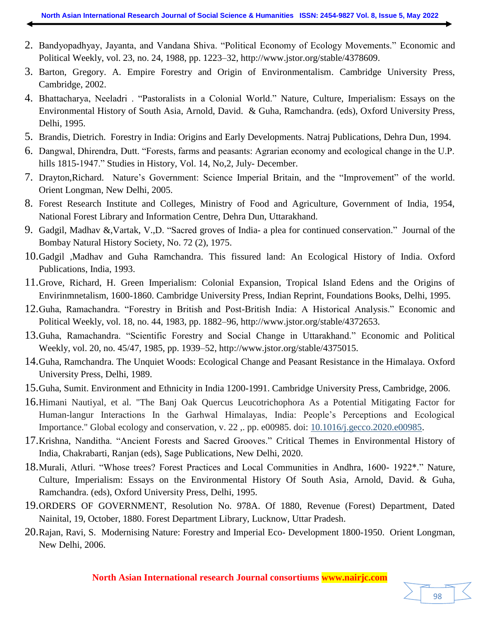- 2. Bandyopadhyay, Jayanta, and Vandana Shiva. "Political Economy of Ecology Movements." Economic and Political Weekly, vol. 23, no. 24, 1988, pp. 1223–32, http://www.jstor.org/stable/4378609.
- 3. Barton, Gregory. A. Empire Forestry and Origin of Environmentalism. Cambridge University Press, Cambridge, 2002.
- 4. Bhattacharya, Neeladri . "Pastoralists in a Colonial World." Nature, Culture, Imperialism: Essays on the Environmental History of South Asia, Arnold, David. & Guha, Ramchandra. (eds), Oxford University Press, Delhi, 1995.
- 5. Brandis, Dietrich. Forestry in India: Origins and Early Developments. Natraj Publications, Dehra Dun, 1994.
- 6. Dangwal, Dhirendra, Dutt. "Forests, farms and peasants: Agrarian economy and ecological change in the U.P. hills 1815-1947." Studies in History, Vol. 14, No, 2, July-December.
- 7. Drayton,Richard. Nature"s Government: Science Imperial Britain, and the "Improvement" of the world. Orient Longman, New Delhi, 2005.
- 8. Forest Research Institute and Colleges, Ministry of Food and Agriculture, Government of India, 1954, National Forest Library and Information Centre, Dehra Dun, Uttarakhand.
- 9. Gadgil, Madhav &,Vartak, V.,D. "Sacred groves of India- a plea for continued conservation." Journal of the Bombay Natural History Society, No. 72 (2), 1975.
- 10.Gadgil ,Madhav and Guha Ramchandra. This fissured land: An Ecological History of India. Oxford Publications, India, 1993.
- 11.Grove, Richard, H. Green Imperialism: Colonial Expansion, Tropical Island Edens and the Origins of Envirinmnetalism, 1600-1860. Cambridge University Press, Indian Reprint, Foundations Books, Delhi, 1995.
- 12.Guha, Ramachandra. "Forestry in British and Post-British India: A Historical Analysis." Economic and Political Weekly, vol. 18, no. 44, 1983, pp. 1882–96, http://www.jstor.org/stable/4372653.
- 13.Guha, Ramachandra. "Scientific Forestry and Social Change in Uttarakhand." Economic and Political Weekly, vol. 20, no. 45/47, 1985, pp. 1939–52, [http://www.jstor.org/stable/4375015.](http://www.jstor.org/stable/4375015.%20Accessed%2029%20Apr.%202022)
- 14.Guha, Ramchandra. The Unquiet Woods: Ecological Change and Peasant Resistance in the Himalaya. Oxford University Press, Delhi, 1989.
- 15.Guha, Sumit. Environment and Ethnicity in India 1200-1991. Cambridge University Press, Cambridge, 2006.
- 16.Himani Nautiyal, et al. "The Banj Oak Quercus Leucotrichophora As a Potential Mitigating Factor for Human-langur Interactions In the Garhwal Himalayas, India: People"s Perceptions and Ecological Importance." Global ecology and conservation, v. 22 ,. pp. e00985. doi: 10.1016/j.gecco.2020.e00985.
- 17.Krishna, Nanditha. "Ancient Forests and Sacred Grooves." Critical Themes in Environmental History of India, Chakrabarti, Ranjan (eds), Sage Publications, New Delhi, 2020.
- 18.Murali, Atluri. "Whose trees? Forest Practices and Local Communities in Andhra, 1600- 1922\*." Nature, Culture, Imperialism: Essays on the Environmental History Of South Asia, Arnold, David. & Guha, Ramchandra. (eds), Oxford University Press, Delhi, 1995.
- 19.ORDERS OF GOVERNMENT, Resolution No. 978A. Of 1880, Revenue (Forest) Department, Dated Nainital, 19, October, 1880. Forest Department Library, Lucknow, Uttar Pradesh.
- 20.Rajan, Ravi, S. Modernising Nature: Forestry and Imperial Eco- Development 1800-1950. Orient Longman, New Delhi, 2006.